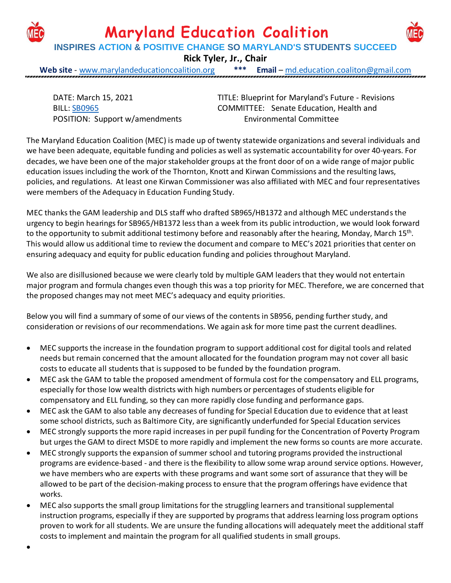

**Maryland Education Coalition**

**INSPIRES ACTION & POSITIVE CHANGE SO MARYLAND'S STUDENTS SUCCEED**

**Rick Tyler, Jr., Chair**

**Web site** - [www.marylandeducationcoalition.org](http://www.marylandeducationcoalition.org/) **\*\*\* Email** – [md.education.coaliton@gmail.com](mailto:md.education.coaliton@gmail.com)

DATE: March 15, 2021 BILL: [SB0965](http://mgaleg.maryland.gov/2021RS/bills/sb/sb0965F.pdf) POSITION: Support w/amendments

•

TITLE: Blueprint for Maryland's Future - Revisions COMMITTEE: Senate Education, Health and Environmental Committee

The Maryland Education Coalition (MEC) is made up of twenty statewide organizations and several individuals and we have been adequate, equitable funding and policies as well as systematic accountability for over 40-years. For decades, we have been one of the major stakeholder groups at the front door of on a wide range of major public education issues including the work of the Thornton, Knott and Kirwan Commissions and the resulting laws, policies, and regulations. At least one Kirwan Commissioner was also affiliated with MEC and four representatives were members of the Adequacy in Education Funding Study.

MEC thanks the GAM leadership and DLS staff who drafted SB965/HB1372 and although MEC understandsthe urgency to begin hearings for SB965/HB1372 less than a week from its public introduction, we would look forward to the opportunity to submit additional testimony before and reasonably after the hearing, Monday, March 15<sup>th</sup>. This would allow us additional time to review the document and compare to MEC's 2021 priorities that center on ensuring adequacy and equity for public education funding and policies throughout Maryland.

We also are disillusioned because we were clearly told by multiple GAM leaders that they would not entertain major program and formula changes even though this was a top priority for MEC. Therefore, we are concerned that the proposed changes may not meet MEC's adequacy and equity priorities.

Below you will find a summary of some of our views of the contents in SB956, pending further study, and consideration or revisions of our recommendations. We again ask for more time past the current deadlines.

- MEC supports the increase in the foundation program to support additional cost for digital tools and related needs but remain concerned that the amount allocated for the foundation program may not cover all basic costs to educate all students that is supposed to be funded by the foundation program.
- MEC ask the GAM to table the proposed amendment of formula cost for the compensatory and ELL programs, especially for those low wealth districts with high numbers or percentages of students eligible for compensatory and ELL funding, so they can more rapidly close funding and performance gaps.
- MEC ask the GAM to also table any decreases of funding for Special Education due to evidence that at least some school districts, such as Baltimore City, are significantly underfunded for Special Education services
- MEC strongly supports the more rapid increases in per pupil funding for the Concentration of Poverty Program but urges the GAM to direct MSDE to more rapidly and implement the new forms so counts are more accurate.
- MEC strongly supports the expansion of summer school and tutoring programs provided the instructional programs are evidence-based - and there is the flexibility to allow some wrap around service options. However, we have members who are experts with these programs and want some sort of assurance that they will be allowed to be part of the decision-making process to ensure that the program offerings have evidence that works.
- MEC also supports the small group limitations for the struggling learners and transitional supplemental instruction programs, especially if they are supported by programs that address learning loss program options proven to work for all students. We are unsure the funding allocations will adequately meet the additional staff coststo implement and maintain the program for all qualified students in small groups.